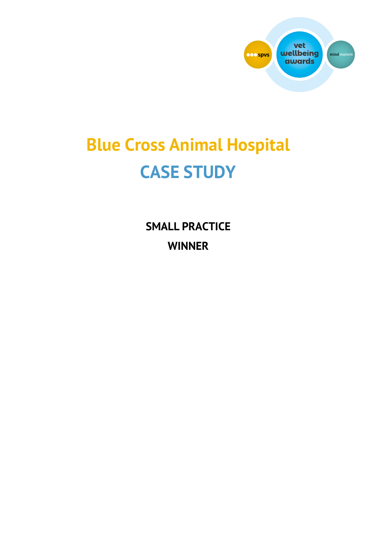

# **Blue Cross Animal Hospital CASE STUDY**

**SMALL PRACTICE WINNER**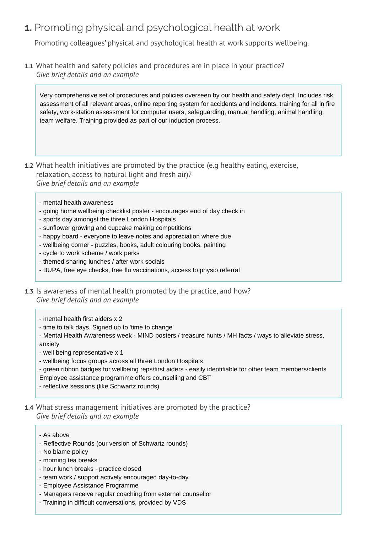## **1.** Promoting physical and psychological health at work

Promoting colleagues' physical and psychological health at work supports wellbeing.

**1.1** What health and safety policies and procedures are in place in your practice? *Give brief details and an example* 

Very comprehensive set of procedures and policies overseen by our health and safety dept. Includes risk assessment of all relevant areas, online reporting system for accidents and incidents, training for all in fire safety, work-station assessment for computer users, safeguarding, manual handling, animal handling, team welfare. Training provided as part of our induction process.

- **1.2** What health initiatives are promoted by the practice (e.g healthy eating, exercise, relaxation, access to natural light and fresh air)? *Give brief details and an example* 
	- mental health awareness
	- going home wellbeing checklist poster encourages end of day check in
	- sports day amongst the three London Hospitals
	- sunflower growing and cupcake making competitions
	- happy board everyone to leave notes and appreciation where due
	- wellbeing corner puzzles, books, adult colouring books, painting
	- cycle to work scheme / work perks
	- themed sharing lunches / after work socials
	- BUPA, free eye checks, free flu vaccinations, access to physio referral
- **1.3** Is awareness of mental health promoted by the practice, and how? *Give brief details and an example* 
	- mental health first aiders x 2
	- time to talk days. Signed up to 'time to change'
	- Mental Health Awareness week MIND posters / treasure hunts / MH facts / ways to alleviate stress, anxiety
	- well being representative x 1
	- wellbeing focus groups across all three London Hospitals
	- green ribbon badges for wellbeing reps/first aiders easily identifiable for other team members/clients
	- Employee assistance programme offers counselling and CBT
	- reflective sessions (like Schwartz rounds)
- **1.4** What stress management initiatives are promoted by the practice? *Give brief details and an example* 
	- As above
	- Reflective Rounds (our version of Schwartz rounds)
	- No blame policy
	- morning tea breaks
	- hour lunch breaks practice closed
	- team work / support actively encouraged day-to-day
	- Employee Assistance Programme
	- Managers receive regular coaching from external counsellor
	- Training in difficult conversations, provided by VDS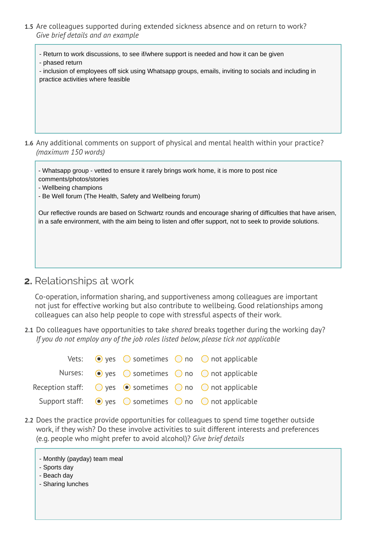**1.5** Are colleagues supported during extended sickness absence and on return to work? *Give brief details and an example* 

- Return to work discussions, to see if/where support is needed and how it can be given - phased return

- inclusion of employees off sick using Whatsapp groups, emails, inviting to socials and including in practice activities where feasible

**1.6** Any additional comments on support of physical and mental health within your practice? *(maximum 150 words)* 

- Whatsapp group - vetted to ensure it rarely brings work home, it is more to post nice comments/photos/stories

- Wellbeing champions
- Be Well forum (The Health, Safety and Wellbeing forum)

Our reflective rounds are based on Schwartz rounds and encourage sharing of difficulties that have arisen, in a safe environment, with the aim being to listen and offer support, not to seek to provide solutions.

**2.** Relationships at work

Co-operation, information sharing, and supportiveness among colleagues are important not just for effective working but also contribute to wellbeing. Good relationships among colleagues can also help people to cope with stressful aspects of their work.

**2.1** Do colleagues have opportunities to take *shared* breaks together during the working day? *If you do not employ any of the job roles listed below, please tick not applicable* 

|  |  | Vets: $\bullet$ yes $\circ$ sometimes $\circ$ no $\circ$ not applicable                      |
|--|--|----------------------------------------------------------------------------------------------|
|  |  | Nurses: $\odot$ yes $\odot$ sometimes $\odot$ no $\odot$ not applicable                      |
|  |  | Reception staff: $\bigcirc$ yes $\bigcirc$ sometimes $\bigcirc$ no $\bigcirc$ not applicable |
|  |  | Support staff: $\bigcirc$ yes $\bigcirc$ sometimes $\bigcirc$ no $\bigcirc$ not applicable   |

- **2.2** Does the practice provide opportunities for colleagues to spend time together outside work, if they wish? Do these involve activities to suit different interests and preferences (e.g. people who might prefer to avoid alcohol)? *Give brief details*
	- Monthly (payday) team meal
	- Sports day
	- Beach day
	- Sharing lunches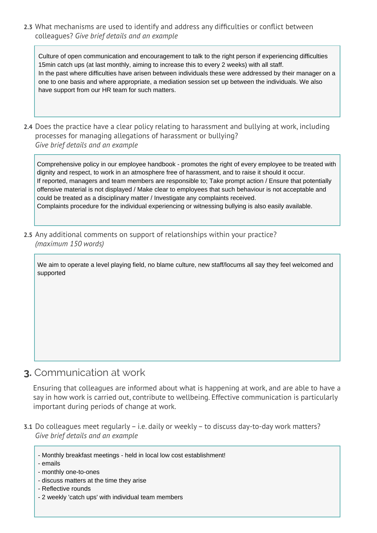**2.3** What mechanisms are used to identify and address any difficulties or conflict between colleagues? *Give brief details and an example* 

Culture of open communication and encouragement to talk to the right person if experiencing difficulties 15min catch ups (at last monthly, aiming to increase this to every 2 weeks) with all staff. In the past where difficulties have arisen between individuals these were addressed by their manager on a one to one basis and where appropriate, a mediation session set up between the individuals. We also have support from our HR team for such matters.

**2.4** Does the practice have a clear policy relating to harassment and bullying at work, including processes for managing allegations of harassment or bullying? *Give brief details and an example* 

Comprehensive policy in our employee handbook - promotes the right of every employee to be treated with dignity and respect, to work in an atmosphere free of harassment, and to raise it should it occur. If reported, managers and team members are responsible to; Take prompt action / Ensure that potentially offensive material is not displayed / Make clear to employees that such behaviour is not acceptable and could be treated as a disciplinary matter / Investigate any complaints received. Complaints procedure for the individual experiencing or witnessing bullying is also easily available.

**2.5** Any additional comments on support of relationships within your practice? *(maximum 150 words)*

We aim to operate a level playing field, no blame culture, new staff/locums all say they feel welcomed and supported

#### **3.** Communication at work

Ensuring that colleagues are informed about what is happening at work, and are able to have a say in how work is carried out, contribute to wellbeing. Effective communication is particularly important during periods of change at work.

- **3.1** Do colleagues meet regularly i.e. daily or weekly to discuss day-to-day work matters? *Give brief details and an example* 
	- Monthly breakfast meetings held in local low cost establishment!
	- emails
	- monthly one-to-ones
	- discuss matters at the time they arise
	- Reflective rounds
	- 2 weekly 'catch ups' with individual team members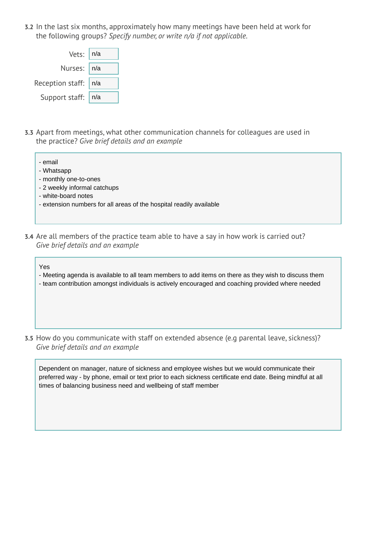**3.2** In the last six months, approximately how many meetings have been held at work for the following groups? *Specify number, or write n/a if not applicable.*

| Vets:   n/a            |  |
|------------------------|--|
| Nurses:   n/a          |  |
| Reception staff:   n/a |  |
| Support staff:   n/a   |  |

**3.3** Apart from meetings, what other communication channels for colleagues are used in the practice? *Give brief details and an example* 

| - email                                                             |
|---------------------------------------------------------------------|
| - Whatsapp                                                          |
| - monthly one-to-ones                                               |
| - 2 weekly informal catchups                                        |
| - white-board notes                                                 |
| - extension numbers for all areas of the hospital readily available |
|                                                                     |
|                                                                     |

**3.4** Are all members of the practice team able to have a say in how work is carried out? *Give brief details and an example* 

Yes

- Meeting agenda is available to all team members to add items on there as they wish to discuss them
- team contribution amongst individuals is actively encouraged and coaching provided where needed
- **3.5** How do you communicate with staff on extended absence (e.g parental leave, sickness)? *Give brief details and an example*

Dependent on manager, nature of sickness and employee wishes but we would communicate their preferred way - by phone, email or text prior to each sickness certificate end date. Being mindful at all times of balancing business need and wellbeing of staff member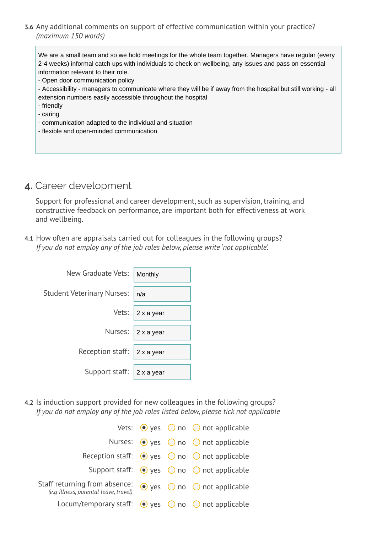**3.6** Any additional comments on support of effective communication within your practice? *(maximum 150 words)*

We are a small team and so we hold meetings for the whole team together. Managers have regular (every 2-4 weeks) informal catch ups with individuals to check on wellbeing, any issues and pass on essential information relevant to their role.

- Open door communication policy

- Accessibility managers to communicate where they will be if away from the hospital but still working all extension numbers easily accessible throughout the hospital
- friendly

- caring

- communication adapted to the individual and situation
- flexible and open-minded communication

## **4.** Career development

Support for professional and career development, such as supervision, training, and constructive feedback on performance, are important both for effectiveness at work and wellbeing.

**4.1** How often are appraisals carried out for colleagues in the following groups? *If you do not employ any of the job roles below, please write 'not applicable'.*

| New Graduate Vets:         | Monthly    |
|----------------------------|------------|
| Student Veterinary Nurses: | n/a        |
| Vets:                      | 2 x a year |
| Nurses:                    | 2 x a year |
| Reception staff:           | 2 x a year |
| Support staff:             | 2 x a year |

**4.2** Is induction support provided for new colleagues in the following groups? *If you do not employ any of the job roles listed below, please tick not applicable* 

|                                                                        |  | Vets: $\bullet$ yes $\circ$ no $\circ$ not applicable            |
|------------------------------------------------------------------------|--|------------------------------------------------------------------|
|                                                                        |  | Nurses: $\odot$ yes $\odot$ no $\odot$ not applicable            |
|                                                                        |  | Reception staff: $\bullet$ yes $\circ$ no $\circ$ not applicable |
|                                                                        |  | Support staff: $\bullet$ yes $\circ$ no $\circ$ not applicable   |
| Staff returning from absence:<br>(e.g illness, parental leave, travel) |  | $\bullet$ yes $\circ$ no $\circ$ not applicable                  |
| Locum/temporary staff: $\bullet$ yes $\circ$ no $\circ$ not applicable |  |                                                                  |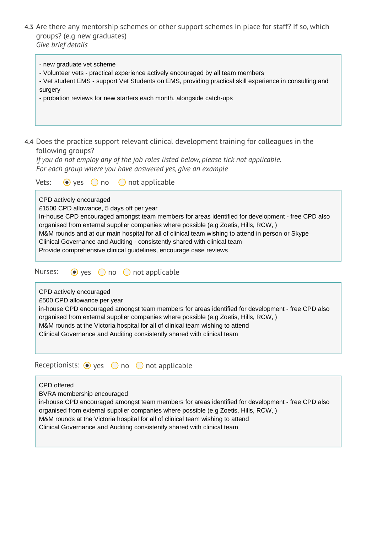**4.3** Are there any mentorship schemes or other support schemes in place for staff? If so, which groups? (e.g new graduates) *Give brief details*

- Vet student EMS - support Vet Students on EMS, providing practical skill experience in consulting and

- Volunteer vets - practical experience actively encouraged by all team members

- probation reviews for new starters each month, alongside catch-ups

- new graduate vet scheme

surgery

| 4.4 Does the practice support relevant clinical development training for colleagues in the<br>following groups?<br>If you do not employ any of the job roles listed below, please tick not applicable.<br>For each group where you have answered yes, give an example<br>Vets:<br>$\bullet$ yes $\circ$ no<br>$\bigcirc$ not applicable                                                                                                                                                                                 |
|-------------------------------------------------------------------------------------------------------------------------------------------------------------------------------------------------------------------------------------------------------------------------------------------------------------------------------------------------------------------------------------------------------------------------------------------------------------------------------------------------------------------------|
| CPD actively encouraged<br>£1500 CPD allowance, 5 days off per year<br>In-house CPD encouraged amongst team members for areas identified for development - free CPD also<br>organised from external supplier companies where possible (e.g Zoetis, Hills, RCW, )<br>M&M rounds and at our main hospital for all of clinical team wishing to attend in person or Skype<br>Clinical Governance and Auditing - consistently shared with clinical team<br>Provide comprehensive clinical guidelines, encourage case reviews |
| Nurses:<br>$\bullet$ yes $\circ$ no $\circ$ not applicable                                                                                                                                                                                                                                                                                                                                                                                                                                                              |
| CPD actively encouraged<br>£500 CPD allowance per year<br>in-house CPD encouraged amongst team members for areas identified for development - free CPD also<br>organised from external supplier companies where possible (e.g Zoetis, Hills, RCW,)<br>M&M rounds at the Victoria hospital for all of clinical team wishing to attend<br>Clinical Governance and Auditing consistently shared with clinical team                                                                                                         |
| Receptionists: $\odot$ yes $\odot$ no $\odot$ not applicable                                                                                                                                                                                                                                                                                                                                                                                                                                                            |
| <b>CPD</b> offered<br>BVRA membership encouraged<br>in-house CPD encouraged amongst team members for areas identified for development - free CPD also<br>organised from external supplier companies where possible (e.g Zoetis, Hills, RCW, )<br>M&M rounds at the Victoria hospital for all of clinical team wishing to attend<br>Clinical Governance and Auditing consistently shared with clinical team                                                                                                              |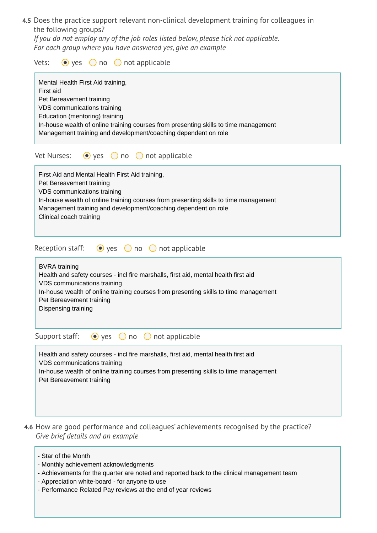**4.5** Does the practice support relevant non-clinical development training for colleagues in the following groups?

*If you do not employ any of the job roles listed below, please tick not applicable. For each group where you have answered yes, give an example* 

Vets:  $\odot$  yes  $\odot$  no  $\odot$  not applicable

| Mental Health First Aid training,<br>First aid<br>Pet Bereavement training<br>VDS communications training<br>Education (mentoring) training<br>In-house wealth of online training courses from presenting skills to time management<br>Management training and development/coaching dependent on role |
|-------------------------------------------------------------------------------------------------------------------------------------------------------------------------------------------------------------------------------------------------------------------------------------------------------|
| Vet Nurses:<br>$\bullet$ yes $\circ$ no $\circ$ not applicable                                                                                                                                                                                                                                        |
| First Aid and Mental Health First Aid training,<br>Pet Bereavement training<br>VDS communications training<br>In-house wealth of online training courses from presenting skills to time management<br>Management training and development/coaching dependent on role<br>Clinical coach training       |
| Reception staff: $\bullet$ yes $\circ$ no $\circ$<br>not applicable                                                                                                                                                                                                                                   |
| <b>BVRA</b> training<br>Health and safety courses - incl fire marshalls, first aid, mental health first aid<br>VDS communications training<br>In-house wealth of online training courses from presenting skills to time management<br>Pet Bereavement training<br>Dispensing training                 |
| Support staff:<br>not applicable<br>$\bullet$ yes $\circ$ no $\circ$                                                                                                                                                                                                                                  |
| Health and safety courses - incl fire marshalls, first aid, mental health first aid<br>VDS communications training<br>In-house wealth of online training courses from presenting skills to time management<br>Pet Bereavement training                                                                |

- **4.6** How are good performance and colleagues' achievements recognised by the practice? *Give brief details and an example* 
	- Star of the Month
	- Monthly achievement acknowledgments
	- Achievements for the quarter are noted and reported back to the clinical management team
	- Appreciation white-board for anyone to use
	- Performance Related Pay reviews at the end of year reviews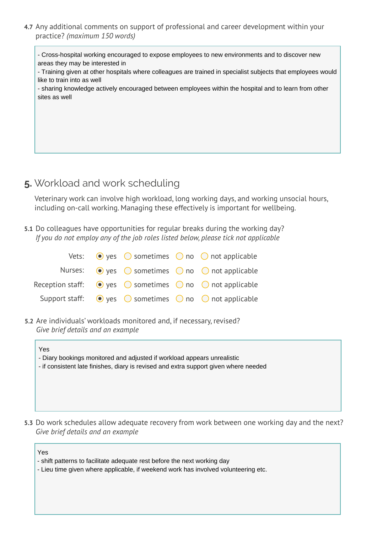**4.7** Any additional comments on support of professional and career development within your practice? *(maximum 150 words)*

- Cross-hospital working encouraged to expose employees to new environments and to discover new areas they may be interested in

- Training given at other hospitals where colleagues are trained in specialist subjects that employees would like to train into as well

- sharing knowledge actively encouraged between employees within the hospital and to learn from other sites as well

### **5.** Workload and work scheduling

Veterinary work can involve high workload, long working days, and working unsocial hours, including on-call working. Managing these effectively is important for wellbeing.

**5.1** Do colleagues have opportunities for regular breaks during the working day? *If you do not employ any of the job roles listed below, please tick not applicable* 

|  |  | Vets: $\bullet$ yes $\circ$ sometimes $\circ$ no $\circ$ not applicable                      |
|--|--|----------------------------------------------------------------------------------------------|
|  |  | Nurses: $\bullet$ yes $\circ$ sometimes $\circ$ no $\circ$ not applicable                    |
|  |  | Reception staff: $\bigcirc$ yes $\bigcirc$ sometimes $\bigcirc$ no $\bigcirc$ not applicable |
|  |  | Support staff: $\bigcirc$ yes $\bigcirc$ sometimes $\bigcirc$ no $\bigcirc$ not applicable   |

**5.2** Are individuals' workloads monitored and, if necessary, revised? *Give brief details and an example* 

| Yes<br>- Diary bookings monitored and adjusted if workload appears unrealistic<br>- if consistent late finishes, diary is revised and extra support given where needed |
|------------------------------------------------------------------------------------------------------------------------------------------------------------------------|
|                                                                                                                                                                        |

**5.3** Do work schedules allow adequate recovery from work between one working day and the next? *Give brief details and an example* 

Yes

- shift patterns to facilitate adequate rest before the next working day
- Lieu time given where applicable, if weekend work has involved volunteering etc.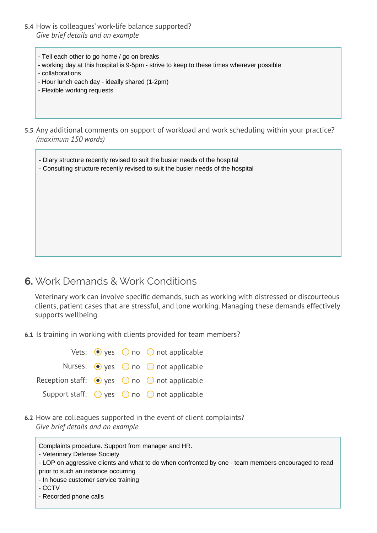- **5.4** How is colleagues' work-life balance supported? *Give brief details and an example* 
	- Tell each other to go home / go on breaks
	- working day at this hospital is 9-5pm strive to keep to these times wherever possible
	- collaborations
	- Hour lunch each day ideally shared (1-2pm)
	- Flexible working requests
- **5.5** Any additional comments on support of workload and work scheduling within your practice? *(maximum 150 words)*

- Diary structure recently revised to suit the busier needs of the hospital - Consulting structure recently revised to suit the busier needs of the hospital

#### **6.** Work Demands & Work Conditions

Veterinary work can involve specific demands, such as working with distressed or discourteous clients, patient cases that are stressful, and lone working. Managing these demands effectively supports wellbeing.

**6.1** Is training in working with clients provided for team members?

Vets:  $\bigcirc$  yes  $\bigcirc$  no  $\bigcirc$  not applicable Nurses: • yes 
o no 
o not applicable Reception staff:  $\bigcirc$  yes  $\bigcirc$  no  $\bigcirc$  not applicable Support staff:  $\bigcirc$  yes  $\bigcirc$  no  $\bigcirc$  not applicable

**6.2** How are colleagues supported in the event of client complaints? *Give brief details and an example* 

Complaints procedure. Support from manager and HR.

- LOP on aggressive clients and what to do when confronted by one - team members encouraged to read prior to such an instance occurring

- In house customer service training
- CCTV
- Recorded phone calls

<sup>-</sup> Veterinary Defense Society